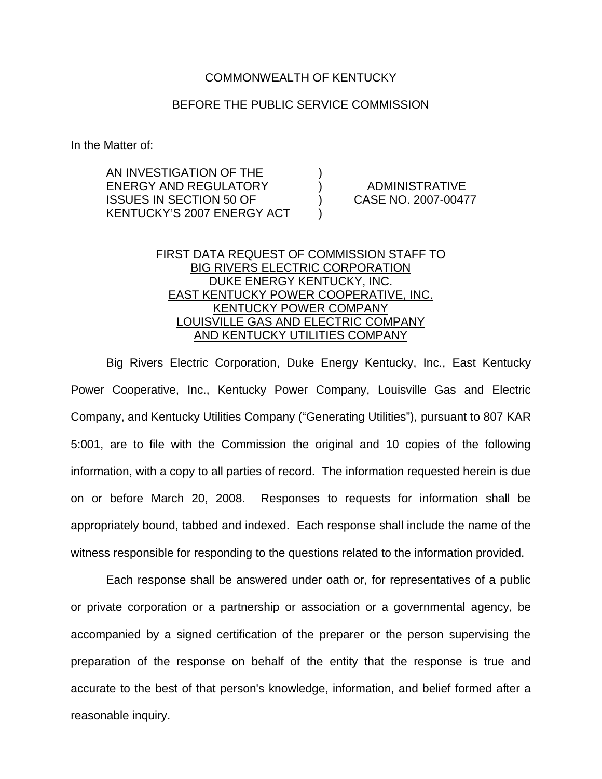## COMMONWEALTH OF KENTUCKY

## BEFORE THE PUBLIC SERVICE COMMISSION

In the Matter of:

AN INVESTIGATION OF THE ENERGY AND REGULATORY ) ADMINISTRATIVE ISSUES IN SECTION 50 OF ) CASE NO. 2007-00477 KENTUCKY'S 2007 ENERGY ACT )

## FIRST DATA REQUEST OF COMMISSION STAFF TO BIG RIVERS ELECTRIC CORPORATION DUKE ENERGY KENTUCKY, INC. EAST KENTUCKY POWER COOPERATIVE, INC. KENTUCKY POWER COMPANY LOUISVILLE GAS AND ELECTRIC COMPANY AND KENTUCKY UTILITIES COMPANY

Big Rivers Electric Corporation, Duke Energy Kentucky, Inc., East Kentucky Power Cooperative, Inc., Kentucky Power Company, Louisville Gas and Electric Company, and Kentucky Utilities Company ("Generating Utilities"), pursuant to 807 KAR 5:001, are to file with the Commission the original and 10 copies of the following information, with a copy to all parties of record. The information requested herein is due on or before March 20, 2008. Responses to requests for information shall be appropriately bound, tabbed and indexed. Each response shall include the name of the witness responsible for responding to the questions related to the information provided.

Each response shall be answered under oath or, for representatives of a public or private corporation or a partnership or association or a governmental agency, be accompanied by a signed certification of the preparer or the person supervising the preparation of the response on behalf of the entity that the response is true and accurate to the best of that person's knowledge, information, and belief formed after a reasonable inquiry.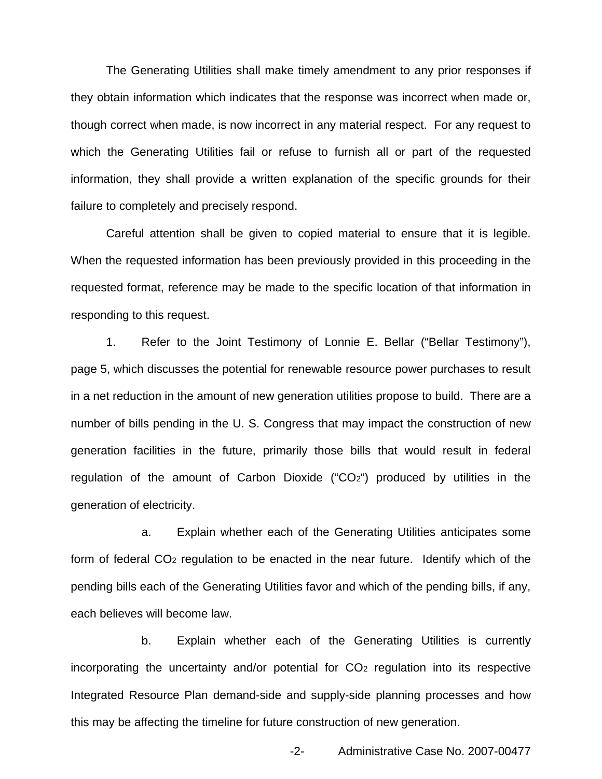The Generating Utilities shall make timely amendment to any prior responses if they obtain information which indicates that the response was incorrect when made or, though correct when made, is now incorrect in any material respect. For any request to which the Generating Utilities fail or refuse to furnish all or part of the requested information, they shall provide a written explanation of the specific grounds for their failure to completely and precisely respond.

Careful attention shall be given to copied material to ensure that it is legible. When the requested information has been previously provided in this proceeding in the requested format, reference may be made to the specific location of that information in responding to this request.

1. Refer to the Joint Testimony of Lonnie E. Bellar ("Bellar Testimony"), page 5, which discusses the potential for renewable resource power purchases to result in a net reduction in the amount of new generation utilities propose to build. There are a number of bills pending in the U. S. Congress that may impact the construction of new generation facilities in the future, primarily those bills that would result in federal regulation of the amount of Carbon Dioxide ("CO2") produced by utilities in the generation of electricity.

a. Explain whether each of the Generating Utilities anticipates some form of federal CO2 regulation to be enacted in the near future. Identify which of the pending bills each of the Generating Utilities favor and which of the pending bills, if any, each believes will become law.

b. Explain whether each of the Generating Utilities is currently incorporating the uncertainty and/or potential for  $CO<sub>2</sub>$  regulation into its respective Integrated Resource Plan demand-side and supply-side planning processes and how this may be affecting the timeline for future construction of new generation.

-2- Administrative Case No. 2007-00477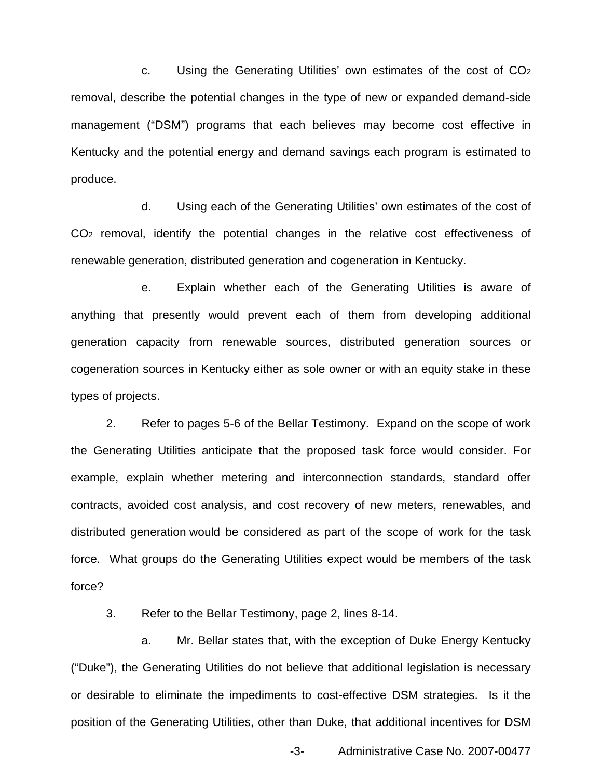c. Using the Generating Utilities' own estimates of the cost of CO2 removal, describe the potential changes in the type of new or expanded demand-side management ("DSM") programs that each believes may become cost effective in Kentucky and the potential energy and demand savings each program is estimated to produce.

d. Using each of the Generating Utilities' own estimates of the cost of CO2 removal, identify the potential changes in the relative cost effectiveness of renewable generation, distributed generation and cogeneration in Kentucky.

e. Explain whether each of the Generating Utilities is aware of anything that presently would prevent each of them from developing additional generation capacity from renewable sources, distributed generation sources or cogeneration sources in Kentucky either as sole owner or with an equity stake in these types of projects.

2. Refer to pages 5-6 of the Bellar Testimony. Expand on the scope of work the Generating Utilities anticipate that the proposed task force would consider. For example, explain whether metering and interconnection standards, standard offer contracts, avoided cost analysis, and cost recovery of new meters, renewables, and distributed generation would be considered as part of the scope of work for the task force. What groups do the Generating Utilities expect would be members of the task force?

3. Refer to the Bellar Testimony, page 2, lines 8-14.

a. Mr. Bellar states that, with the exception of Duke Energy Kentucky ("Duke"), the Generating Utilities do not believe that additional legislation is necessary or desirable to eliminate the impediments to cost-effective DSM strategies. Is it the position of the Generating Utilities, other than Duke, that additional incentives for DSM

-3- Administrative Case No. 2007-00477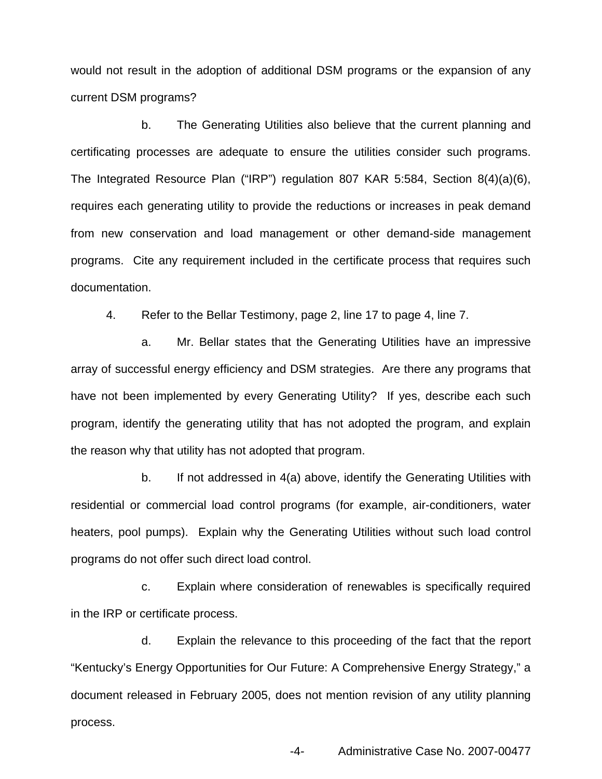would not result in the adoption of additional DSM programs or the expansion of any current DSM programs?

b. The Generating Utilities also believe that the current planning and certificating processes are adequate to ensure the utilities consider such programs. The Integrated Resource Plan ("IRP") regulation 807 KAR 5:584, Section 8(4)(a)(6), requires each generating utility to provide the reductions or increases in peak demand from new conservation and load management or other demand-side management programs. Cite any requirement included in the certificate process that requires such documentation.

4. Refer to the Bellar Testimony, page 2, line 17 to page 4, line 7.

a. Mr. Bellar states that the Generating Utilities have an impressive array of successful energy efficiency and DSM strategies. Are there any programs that have not been implemented by every Generating Utility? If yes, describe each such program, identify the generating utility that has not adopted the program, and explain the reason why that utility has not adopted that program.

b. If not addressed in 4(a) above, identify the Generating Utilities with residential or commercial load control programs (for example, air-conditioners, water heaters, pool pumps). Explain why the Generating Utilities without such load control programs do not offer such direct load control.

c. Explain where consideration of renewables is specifically required in the IRP or certificate process.

d. Explain the relevance to this proceeding of the fact that the report "Kentucky's Energy Opportunities for Our Future: A Comprehensive Energy Strategy," a document released in February 2005, does not mention revision of any utility planning process.

-4- Administrative Case No. 2007-00477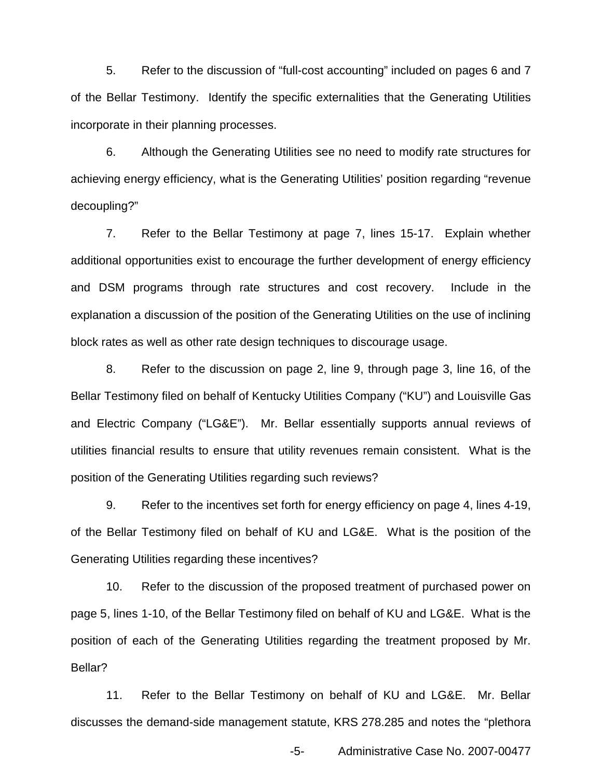5. Refer to the discussion of "full-cost accounting" included on pages 6 and 7 of the Bellar Testimony. Identify the specific externalities that the Generating Utilities incorporate in their planning processes.

6. Although the Generating Utilities see no need to modify rate structures for achieving energy efficiency, what is the Generating Utilities' position regarding "revenue decoupling?"

7. Refer to the Bellar Testimony at page 7, lines 15-17. Explain whether additional opportunities exist to encourage the further development of energy efficiency and DSM programs through rate structures and cost recovery. Include in the explanation a discussion of the position of the Generating Utilities on the use of inclining block rates as well as other rate design techniques to discourage usage.

8. Refer to the discussion on page 2, line 9, through page 3, line 16, of the Bellar Testimony filed on behalf of Kentucky Utilities Company ("KU") and Louisville Gas and Electric Company ("LG&E"). Mr. Bellar essentially supports annual reviews of utilities financial results to ensure that utility revenues remain consistent. What is the position of the Generating Utilities regarding such reviews?

9. Refer to the incentives set forth for energy efficiency on page 4, lines 4-19, of the Bellar Testimony filed on behalf of KU and LG&E. What is the position of the Generating Utilities regarding these incentives?

10. Refer to the discussion of the proposed treatment of purchased power on page 5, lines 1-10, of the Bellar Testimony filed on behalf of KU and LG&E. What is the position of each of the Generating Utilities regarding the treatment proposed by Mr. Bellar?

11. Refer to the Bellar Testimony on behalf of KU and LG&E. Mr. Bellar discusses the demand-side management statute, KRS 278.285 and notes the "plethora

-5- Administrative Case No. 2007-00477